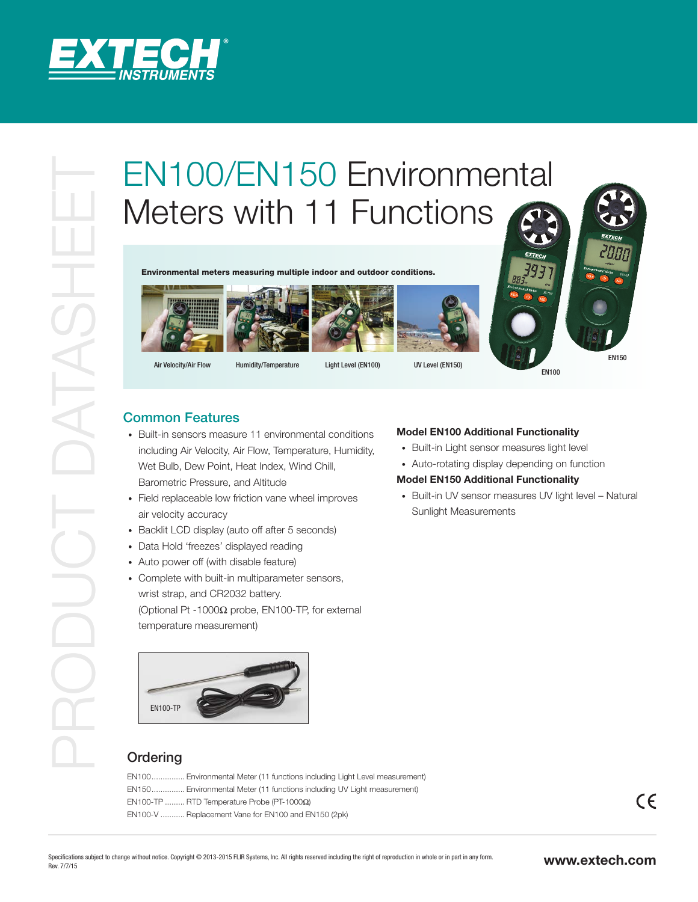

# EN100/EN150 Environmental<br>
Environmental<br>
Environmental<br>
Environmental<br>
Common Features<br>
Common Features<br>
Properties the members of an experimental<br>
Common Features<br>
Properties the members of an experimental<br>
Developmental Meters with 11 Functions

Environmental meters measuring multiple indoor and outdoor conditions.









Air Velocity/Air Flow Humidity/Temperature Light Level (EN100) UV Level (EN150)

EN100

# Common Features

- Built-in sensors measure 11 environmental conditions including Air Velocity, Air Flow, Temperature, Humidity, Wet Bulb, Dew Point, Heat Index, Wind Chill, Barometric Pressure, and Altitude
- Field replaceable low friction vane wheel improves air velocity accuracy
- Backlit LCD display (auto off after 5 seconds)
- Data Hold 'freezes' displayed reading
- Auto power off (with disable feature)
- Complete with built-in multiparameter sensors, wrist strap, and CR2032 battery. (Optional Pt -1000Ω probe, EN100-TP, for external temperature measurement)

# EN100-TP

# **Ordering**

EN100............... Environmental Meter (11 functions including Light Level measurement) EN150............... Environmental Meter (11 functions including UV Light measurement) EN100-TP ......... RTD Temperature Probe (PT-1000Ω) EN100-V ........... Replacement Vane for EN100 and EN150 (2pk)

## **Model EN100 Additional Functionality**

- Built-in Light sensor measures light level
- Auto-rotating display depending on function

## **Model EN150 Additional Functionality**

• Built-in UV sensor measures UV light level – Natural Sunlight Measurements

 $C \in$